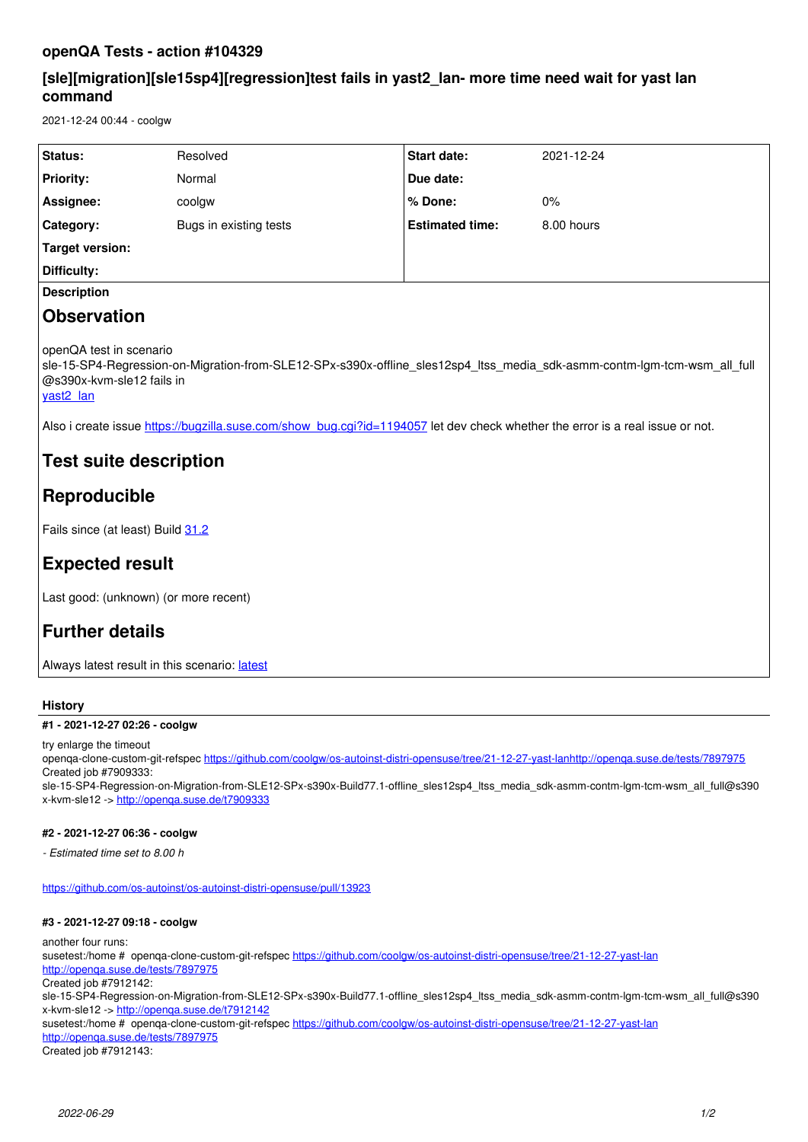### **openQA Tests - action #104329**

## **[sle][migration][sle15sp4][regression]test fails in yast2\_lan- more time need wait for yast lan command**

2021-12-24 00:44 - coolgw

| Status:            | Resolved               | <b>Start date:</b>     | 2021-12-24 |
|--------------------|------------------------|------------------------|------------|
| <b>Priority:</b>   | Normal                 | Due date:              |            |
| Assignee:          | coolgw                 | % Done:                | $0\%$      |
| Category:          | Bugs in existing tests | <b>Estimated time:</b> | 8.00 hours |
| Target version:    |                        |                        |            |
| Difficulty:        |                        |                        |            |
| <b>Description</b> |                        |                        |            |

## **Observation**

openQA test in scenario

sle-15-SP4-Regression-on-Migration-from-SLE12-SPx-s390x-offline sles12sp4 ltss media sdk-asmm-contm-lgm-tcm-wsm all full @s390x-kvm-sle12 fails in

[yast2\\_lan](https://openqa.nue.suse.com/tests/7897975/modules/yast2_lan/steps/14)

Also i create issue [https://bugzilla.suse.com/show\\_bug.cgi?id=1194057](https://bugzilla.suse.com/show_bug.cgi?id=1194057) let dev check whether the error is a real issue or not.

## **Test suite description**

# **Reproducible**

Fails since (at least) Build [31.2](https://openqa.nue.suse.com/tests/7011839)

## **Expected result**

Last good: (unknown) (or more recent)

## **Further details**

Always [latest](https://openqa.nue.suse.com/tests/latest?arch=s390x&distri=sle&flavor=Regression-on-Migration-from-SLE12-SPx&machine=s390x-kvm-sle12&test=offline_sles12sp4_ltss_media_sdk-asmm-contm-lgm-tcm-wsm_all_full&version=15-SP4) result in this scenario: latest

### **History**

### **#1 - 2021-12-27 02:26 - coolgw**

try enlarge the timeout

openqa-clone-custom-git-refspec<https://github.com/coolgw/os-autoinst-distri-opensuse/tree/21-12-27-yast-lan><http://openqa.suse.de/tests/7897975> Created job #7909333:

sle-15-SP4-Regression-on-Migration-from-SLE12-SPx-s390x-Build77.1-offline\_sles12sp4\_ltss\_media\_sdk-asmm-contm-lgm-tcm-wsm\_all\_full@s390 x-kvm-sle12 -><http://openqa.suse.de/t7909333>

### **#2 - 2021-12-27 06:36 - coolgw**

*- Estimated time set to 8.00 h*

<https://github.com/os-autoinst/os-autoinst-distri-opensuse/pull/13923>

### **#3 - 2021-12-27 09:18 - coolgw**

another four runs: susetest:/home # openqa-clone-custom-git-refspec <https://github.com/coolgw/os-autoinst-distri-opensuse/tree/21-12-27-yast-lan> <http://openqa.suse.de/tests/7897975> Created job #7912142: sle-15-SP4-Regression-on-Migration-from-SLE12-SPx-s390x-Build77.1-offline\_sles12sp4\_ltss\_media\_sdk-asmm-contm-lgm-tcm-wsm\_all\_full@s390 x-kvm-sle12 -><http://openqa.suse.de/t7912142> susetest:/home # openqa-clone-custom-git-refspec <https://github.com/coolgw/os-autoinst-distri-opensuse/tree/21-12-27-yast-lan> <http://openqa.suse.de/tests/7897975> Created job #7912143: